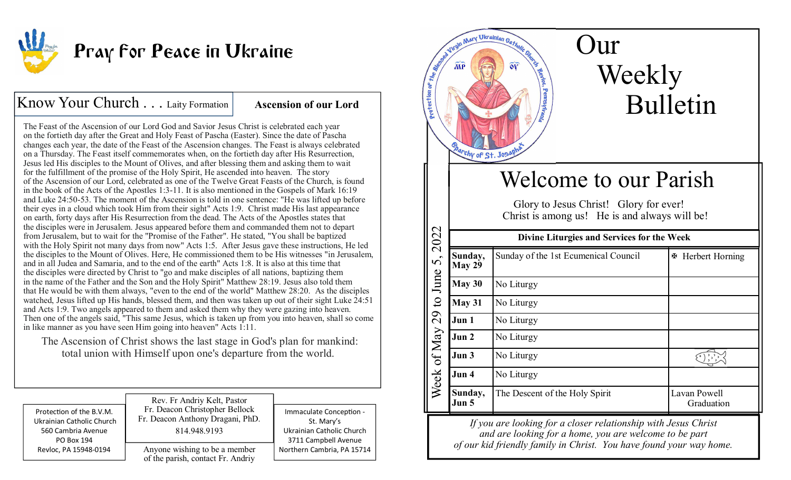

# **Pray for Peace in Ukraine**

## Know Your Church . . . Laity Formation | **Ascension of our Lord**

The Feast of the Ascension of our Lord God and Savior Jesus Christ is celebrated each year on the fortieth day after the Great and Holy Feast of Pascha (Easter). Since the date of Pascha changes each year, the date of the Feast of the Ascension changes. The Feast is always celebrated on a Thursday. The Feast itself commemorates when, on the fortieth day after His Resurrection, Jesus led His disciples to the Mount of Olives, and after blessing them and asking them to wait for the fulfillment of the promise of the Holy Spirit, He ascended into heaven. The story of the Ascension of our Lord, celebrated as one of the Twelve Great Feasts of the Church, is found in the book of the Acts of the Apostles 1:3-11. It is also mentioned in the Gospels of Mark 16:19 and Luke 24:50-53. The moment of the Ascension is told in one sentence: "He was lifted up before their eyes in a cloud which took Him from their sight" Acts 1:9. Christ made His last appearance on earth, forty days after His Resurrection from the dead. The Acts of the Apostles states that the disciples were in Jerusalem. Jesus appeared before them and commanded them not to depart from Jerusalem, but to wait for the "Promise of the Father". He stated, "You shall be baptized with the Holy Spirit not many days from now" Acts 1:5. After Jesus gave these instructions, He led the disciples to the Mount of Olives. Here, He commissioned them to be His witnesses "in Jerusalem, and in all Judea and Samaria, and to the end of the earth" Acts 1:8. It is also at this time that the disciples were directed by Christ to "go and make disciples of all nations, baptizing them in the name of the Father and the Son and the Holy Spirit" Matthew 28:19. Jesus also told them that He would be with them always, "even to the end of the world" Matthew 28:20. As the disciples watched, Jesus lifted up His hands, blessed them, and then was taken up out of their sight Luke 24:51 and Acts 1:9. Two angels appeared to them and asked them why they were gazing into heaven. Then one of the angels said, "This same Jesus, which is taken up from you into heaven, shall so come in like manner as you have seen Him going into heaven" Acts 1:11.

The Ascension of Christ shows the last stage in God's plan for mankind: total union with Himself upon one's departure from the world.

| Protection of the B.V.M.  | Rev. Fr Andriy Kelt, Pastor                                        | Immaculate Conception -    |
|---------------------------|--------------------------------------------------------------------|----------------------------|
| Ukrainian Catholic Church | Fr. Deacon Christopher Bellock                                     | St. Mary's                 |
| 560 Cambria Avenue        | Fr. Deacon Anthony Dragani, PhD.                                   | Ukrainian Catholic Church  |
| PO Box 194                | 814.948.9193                                                       | 3711 Campbell Avenue       |
| Revloc, PA 15948-0194     | Anyone wishing to be a member<br>of the parish, contact Fr. Andriy | Northern Cambria, PA 15714 |



*If you are looking for a closer relationship with Jesus Christand are looking for a home, you are welcome to be part of our kid friendly family in Christ. You have found your way home.*